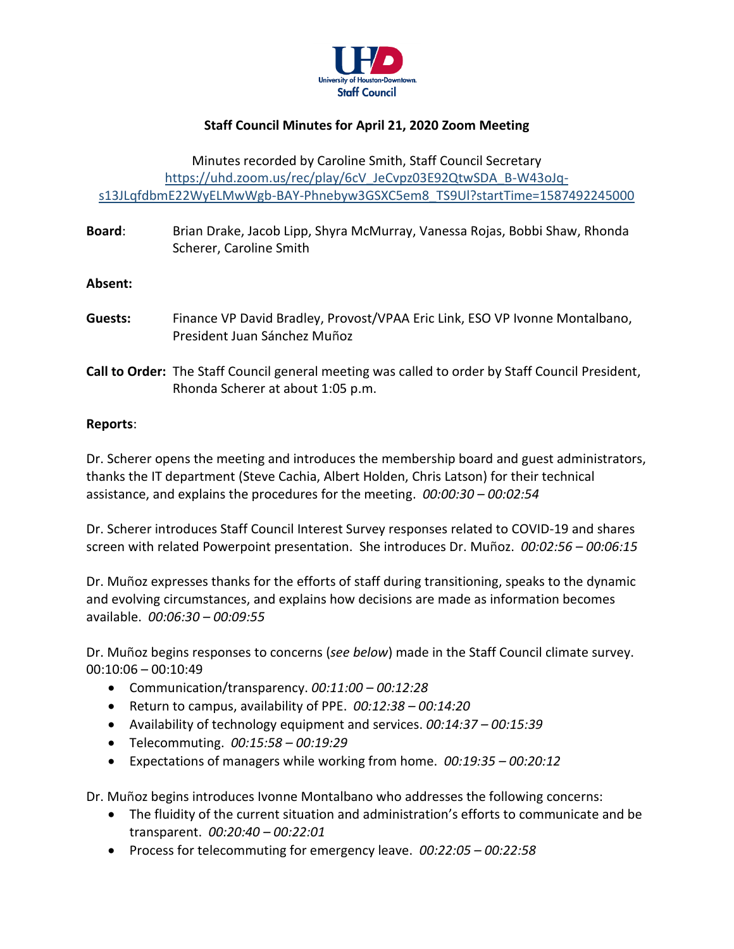

# **Staff Council Minutes for April 21, 2020 Zoom Meeting**

## Minutes recorded by Caroline Smith, Staff Council Secretary [https://uhd.zoom.us/rec/play/6cV\\_JeCvpz03E92QtwSDA\\_B-W43oJq](https://uhd.zoom.us/rec/play/6cV_JeCvpz03E92QtwSDA_B-W43oJq-s13JLqfdbmE22WyELMwWgb-BAY-Phnebyw3GSXC5em8_TS9Ul?startTime=1587492245000)[s13JLqfdbmE22WyELMwWgb-BAY-Phnebyw3GSXC5em8\\_TS9Ul?startTime=1587492245000](https://uhd.zoom.us/rec/play/6cV_JeCvpz03E92QtwSDA_B-W43oJq-s13JLqfdbmE22WyELMwWgb-BAY-Phnebyw3GSXC5em8_TS9Ul?startTime=1587492245000)

**Board**: Brian Drake, Jacob Lipp, Shyra McMurray, Vanessa Rojas, Bobbi Shaw, Rhonda Scherer, Caroline Smith

## **Absent:**

- **Guests:** Finance VP David Bradley, Provost/VPAA Eric Link, ESO VP Ivonne Montalbano, President Juan Sánchez Muñoz
- **Call to Order:** The Staff Council general meeting was called to order by Staff Council President, Rhonda Scherer at about 1:05 p.m.

### **Reports**:

Dr. Scherer opens the meeting and introduces the membership board and guest administrators, thanks the IT department (Steve Cachia, Albert Holden, Chris Latson) for their technical assistance, and explains the procedures for the meeting. *00:00:30 – 00:02:54*

Dr. Scherer introduces Staff Council Interest Survey responses related to COVID-19 and shares screen with related Powerpoint presentation. She introduces Dr. Muñoz. *00:02:56 – 00:06:15*

Dr. Muñoz expresses thanks for the efforts of staff during transitioning, speaks to the dynamic and evolving circumstances, and explains how decisions are made as information becomes available. *00:06:30 – 00:09:55*

Dr. Muñoz begins responses to concerns (*see below*) made in the Staff Council climate survey. 00:10:06 – 00:10:49

- Communication/transparency. *00:11:00 – 00:12:28*
- Return to campus, availability of PPE. *00:12:38 – 00:14:20*
- Availability of technology equipment and services. *00:14:37 – 00:15:39*
- Telecommuting. *00:15:58 – 00:19:29*
- Expectations of managers while working from home. *00:19:35 – 00:20:12*

Dr. Muñoz begins introduces Ivonne Montalbano who addresses the following concerns:

- The fluidity of the current situation and administration's efforts to communicate and be transparent. *00:20:40 – 00:22:01*
- Process for telecommuting for emergency leave. *00:22:05 – 00:22:58*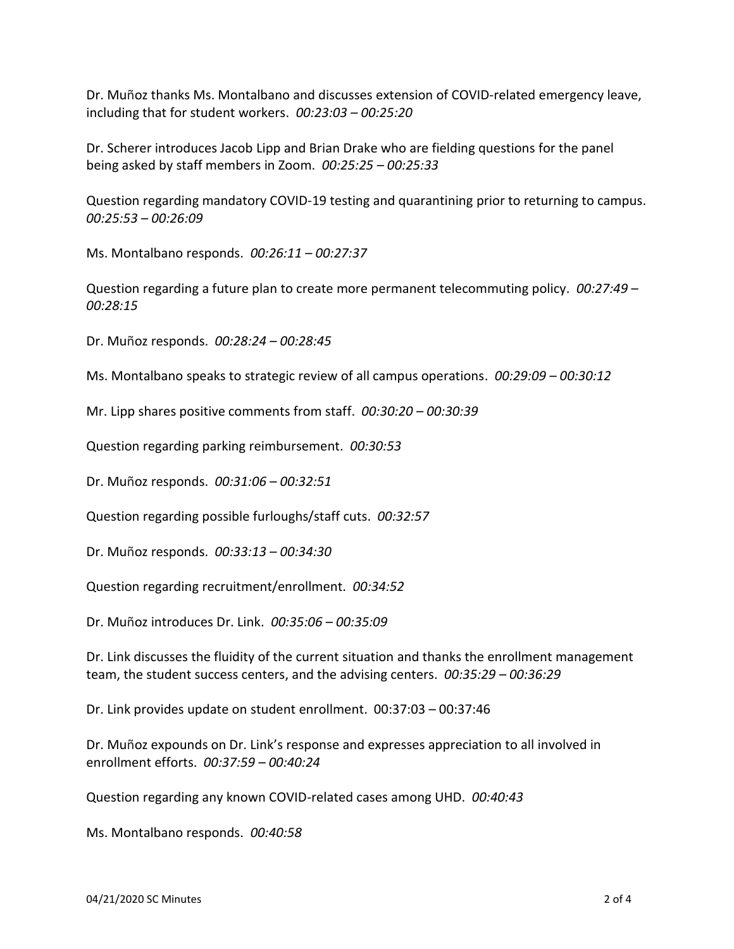Dr. Muñoz thanks Ms. Montalbano and discusses extension of COVID-related emergency leave, including that for student workers. *00:23:03 – 00:25:20*

Dr. Scherer introduces Jacob Lipp and Brian Drake who are fielding questions for the panel being asked by staff members in Zoom. *00:25:25 – 00:25:33*

Question regarding mandatory COVID-19 testing and quarantining prior to returning to campus. *00:25:53 – 00:26:09*

Ms. Montalbano responds. *00:26:11 – 00:27:37*

Question regarding a future plan to create more permanent telecommuting policy. *00:27:49 – 00:28:15*

Dr. Muñoz responds. *00:28:24 – 00:28:45*

Ms. Montalbano speaks to strategic review of all campus operations. *00:29:09 – 00:30:12*

Mr. Lipp shares positive comments from staff. *00:30:20 – 00:30:39*

Question regarding parking reimbursement. *00:30:53*

Dr. Muñoz responds. *00:31:06 – 00:32:51*

Question regarding possible furloughs/staff cuts. *00:32:57*

Dr. Muñoz responds. *00:33:13 – 00:34:30*

Question regarding recruitment/enrollment. *00:34:52*

Dr. Muñoz introduces Dr. Link. *00:35:06 – 00:35:09*

Dr. Link discusses the fluidity of the current situation and thanks the enrollment management team, the student success centers, and the advising centers. *00:35:29 – 00:36:29*

Dr. Link provides update on student enrollment. 00:37:03 – 00:37:46

Dr. Muñoz expounds on Dr. Link's response and expresses appreciation to all involved in enrollment efforts. *00:37:59 – 00:40:24*

Question regarding any known COVID-related cases among UHD. *00:40:43*

Ms. Montalbano responds. *00:40:58*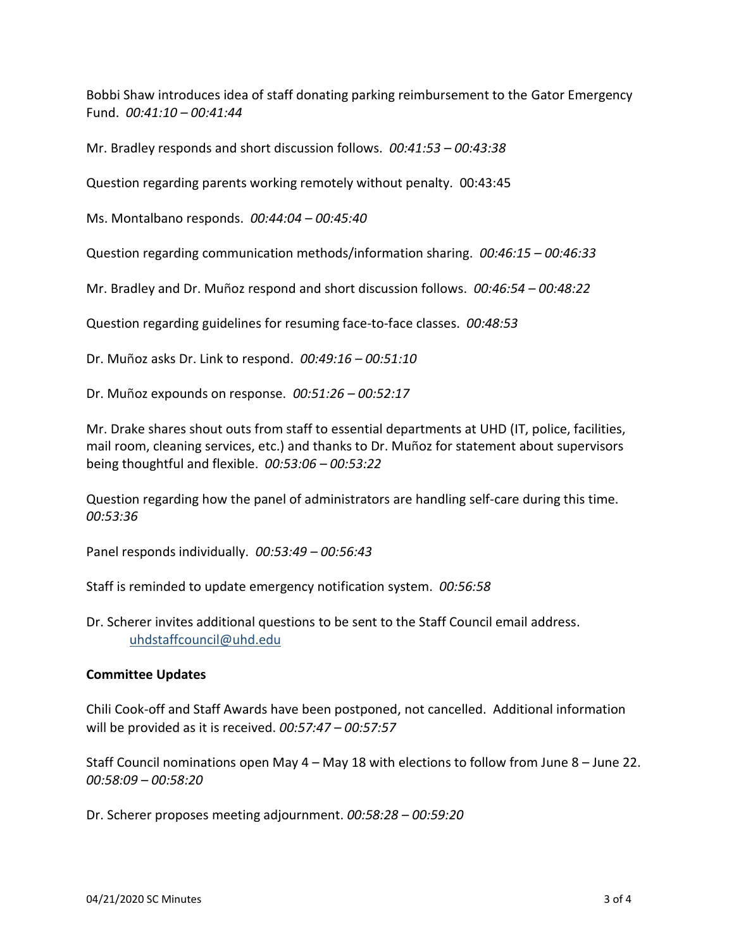Bobbi Shaw introduces idea of staff donating parking reimbursement to the Gator Emergency Fund. *00:41:10 – 00:41:44*

Mr. Bradley responds and short discussion follows. *00:41:53 – 00:43:38*

Question regarding parents working remotely without penalty. 00:43:45

Ms. Montalbano responds. *00:44:04 – 00:45:40*

Question regarding communication methods/information sharing. *00:46:15 – 00:46:33*

Mr. Bradley and Dr. Muñoz respond and short discussion follows. *00:46:54 – 00:48:22*

Question regarding guidelines for resuming face-to-face classes. *00:48:53*

Dr. Muñoz asks Dr. Link to respond. *00:49:16 – 00:51:10*

Dr. Muñoz expounds on response. *00:51:26 – 00:52:17*

Mr. Drake shares shout outs from staff to essential departments at UHD (IT, police, facilities, mail room, cleaning services, etc.) and thanks to Dr. Muñoz for statement about supervisors being thoughtful and flexible. *00:53:06 – 00:53:22*

Question regarding how the panel of administrators are handling self-care during this time. *00:53:36*

Panel responds individually. *00:53:49 – 00:56:43*

Staff is reminded to update emergency notification system. *00:56:58*

Dr. Scherer invites additional questions to be sent to the Staff Council email address. [uhdstaffcouncil@uhd.edu](mailto:uhdstaffcouncil@uhd.edu)

### **Committee Updates**

Chili Cook-off and Staff Awards have been postponed, not cancelled. Additional information will be provided as it is received. *00:57:47 – 00:57:57*

Staff Council nominations open May 4 – May 18 with elections to follow from June 8 – June 22. *00:58:09 – 00:58:20*

Dr. Scherer proposes meeting adjournment. *00:58:28 – 00:59:20*